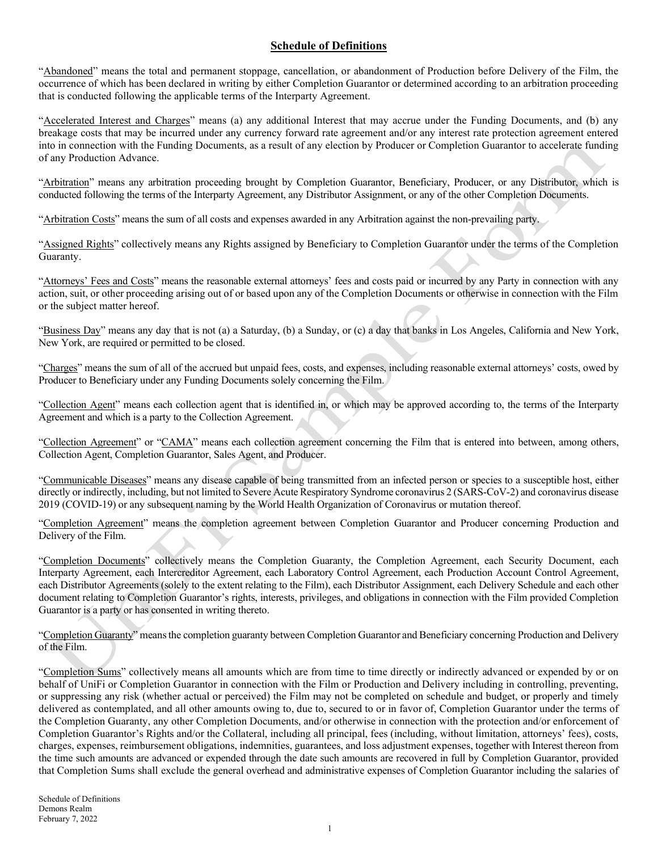## Schedule of Definitions

"Abandoned" means the total and permanent stoppage, cancellation, or abandonment of Production before Delivery of the Film, the occurrence of which has been declared in writing by either Completion Guarantor or determined according to an arbitration proceeding that is conducted following the applicable terms of the Interparty Agreement.

"Accelerated Interest and Charges" means (a) any additional Interest that may accrue under the Funding Documents, and (b) any breakage costs that may be incurred under any currency forward rate agreement and/or any interest rate protection agreement entered into in connection with the Funding Documents, as a result of any election by Producer or Completion Guarantor to accelerate funding of any Production Advance.

"Arbitration" means any arbitration proceeding brought by Completion Guarantor, Beneficiary, Producer, or any Distributor, which is conducted following the terms of the Interparty Agreement, any Distributor Assignment, or any of the other Completion Documents.

"Arbitration Costs" means the sum of all costs and expenses awarded in any Arbitration against the non-prevailing party.

"Assigned Rights" collectively means any Rights assigned by Beneficiary to Completion Guarantor under the terms of the Completion Guaranty.

"Attorneys' Fees and Costs" means the reasonable external attorneys' fees and costs paid or incurred by any Party in connection with any action, suit, or other proceeding arising out of or based upon any of the Completion Documents or otherwise in connection with the Film or the subject matter hereof.

"Business Day" means any day that is not (a) a Saturday, (b) a Sunday, or (c) a day that banks in Los Angeles, California and New York, New York, are required or permitted to be closed.

"Charges" means the sum of all of the accrued but unpaid fees, costs, and expenses, including reasonable external attorneys' costs, owed by Producer to Beneficiary under any Funding Documents solely concerning the Film.

"Collection Agent" means each collection agent that is identified in, or which may be approved according to, the terms of the Interparty Agreement and which is a party to the Collection Agreement.

"Collection Agreement" or "CAMA" means each collection agreement concerning the Film that is entered into between, among others, Collection Agent, Completion Guarantor, Sales Agent, and Producer.

"Communicable Diseases" means any disease capable of being transmitted from an infected person or species to a susceptible host, either directly or indirectly, including, but not limited to Severe Acute Respiratory Syndrome coronavirus 2 (SARS-CoV-2) and coronavirus disease 2019 (COVID-19) or any subsequent naming by the World Health Organization of Coronavirus or mutation thereof.

"Completion Agreement" means the completion agreement between Completion Guarantor and Producer concerning Production and Delivery of the Film.

"Completion Documents" collectively means the Completion Guaranty, the Completion Agreement, each Security Document, each Interparty Agreement, each Intercreditor Agreement, each Laboratory Control Agreement, each Production Account Control Agreement, each Distributor Agreements (solely to the extent relating to the Film), each Distributor Assignment, each Delivery Schedule and each other document relating to Completion Guarantor's rights, interests, privileges, and obligations in connection with the Film provided Completion Guarantor is a party or has consented in writing thereto.

"Completion Guaranty" means the completion guaranty between Completion Guarantor and Beneficiary concerning Production and Delivery of the Film.

"Completion Sums" collectively means all amounts which are from time to time directly or indirectly advanced or expended by or on behalf of UniFi or Completion Guarantor in connection with the Film or Production and Delivery including in controlling, preventing, or suppressing any risk (whether actual or perceived) the Film may not be completed on schedule and budget, or properly and timely delivered as contemplated, and all other amounts owing to, due to, secured to or in favor of, Completion Guarantor under the terms of the Completion Guaranty, any other Completion Documents, and/or otherwise in connection with the protection and/or enforcement of Completion Guarantor's Rights and/or the Collateral, including all principal, fees (including, without limitation, attorneys' fees), costs, charges, expenses, reimbursement obligations, indemnities, guarantees, and loss adjustment expenses, together with Interest thereon from the time such amounts are advanced or expended through the date such amounts are recovered in full by Completion Guarantor, provided that Completion Sums shall exclude the general overhead and administrative expenses of Completion Guarantor including the salaries of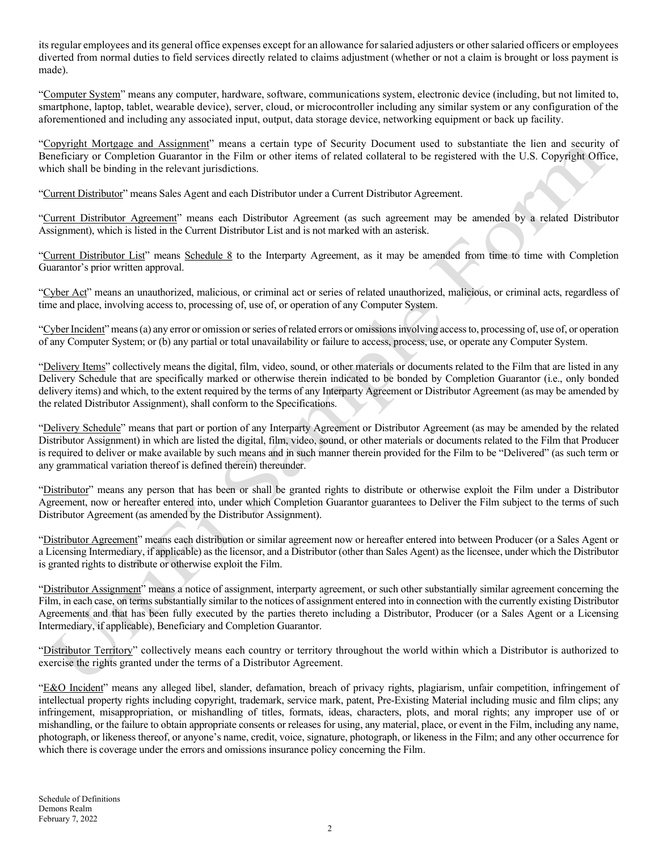its regular employees and its general office expenses except for an allowance for salaried adjusters or other salaried officers or employees diverted from normal duties to field services directly related to claims adjustment (whether or not a claim is brought or loss payment is made).

"Computer System" means any computer, hardware, software, communications system, electronic device (including, but not limited to, smartphone, laptop, tablet, wearable device), server, cloud, or microcontroller including any similar system or any configuration of the aforementioned and including any associated input, output, data storage device, networking equipment or back up facility.

"Copyright Mortgage and Assignment" means a certain type of Security Document used to substantiate the lien and security of Beneficiary or Completion Guarantor in the Film or other items of related collateral to be registered with the U.S. Copyright Office, which shall be binding in the relevant jurisdictions.

"Current Distributor" means Sales Agent and each Distributor under a Current Distributor Agreement.

"Current Distributor Agreement" means each Distributor Agreement (as such agreement may be amended by a related Distributor Assignment), which is listed in the Current Distributor List and is not marked with an asterisk.

"Current Distributor List" means Schedule 8 to the Interparty Agreement, as it may be amended from time to time with Completion Guarantor's prior written approval.

"Cyber Act" means an unauthorized, malicious, or criminal act or series of related unauthorized, malicious, or criminal acts, regardless of time and place, involving access to, processing of, use of, or operation of any Computer System.

"Cyber Incident" means (a) any error or omission or series of related errors or omissions involving access to, processing of, use of, or operation of any Computer System; or (b) any partial or total unavailability or failure to access, process, use, or operate any Computer System.

"Delivery Items" collectively means the digital, film, video, sound, or other materials or documents related to the Film that are listed in any Delivery Schedule that are specifically marked or otherwise therein indicated to be bonded by Completion Guarantor (i.e., only bonded delivery items) and which, to the extent required by the terms of any Interparty Agreement or Distributor Agreement (as may be amended by the related Distributor Assignment), shall conform to the Specifications.

"Delivery Schedule" means that part or portion of any Interparty Agreement or Distributor Agreement (as may be amended by the related Distributor Assignment) in which are listed the digital, film, video, sound, or other materials or documents related to the Film that Producer is required to deliver or make available by such means and in such manner therein provided for the Film to be "Delivered" (as such term or any grammatical variation thereof is defined therein) thereunder.

"Distributor" means any person that has been or shall be granted rights to distribute or otherwise exploit the Film under a Distributor Agreement, now or hereafter entered into, under which Completion Guarantor guarantees to Deliver the Film subject to the terms of such Distributor Agreement (as amended by the Distributor Assignment).

"Distributor Agreement" means each distribution or similar agreement now or hereafter entered into between Producer (or a Sales Agent or a Licensing Intermediary, if applicable) as the licensor, and a Distributor (other than Sales Agent) as the licensee, under which the Distributor is granted rights to distribute or otherwise exploit the Film.

"Distributor Assignment" means a notice of assignment, interparty agreement, or such other substantially similar agreement concerning the Film, in each case, on terms substantially similar to the notices of assignment entered into in connection with the currently existing Distributor Agreements and that has been fully executed by the parties thereto including a Distributor, Producer (or a Sales Agent or a Licensing Intermediary, if applicable), Beneficiary and Completion Guarantor.

"Distributor Territory" collectively means each country or territory throughout the world within which a Distributor is authorized to exercise the rights granted under the terms of a Distributor Agreement.

"E&O Incident" means any alleged libel, slander, defamation, breach of privacy rights, plagiarism, unfair competition, infringement of intellectual property rights including copyright, trademark, service mark, patent, Pre-Existing Material including music and film clips; any infringement, misappropriation, or mishandling of titles, formats, ideas, characters, plots, and moral rights; any improper use of or mishandling, or the failure to obtain appropriate consents or releases for using, any material, place, or event in the Film, including any name, photograph, or likeness thereof, or anyone's name, credit, voice, signature, photograph, or likeness in the Film; and any other occurrence for which there is coverage under the errors and omissions insurance policy concerning the Film.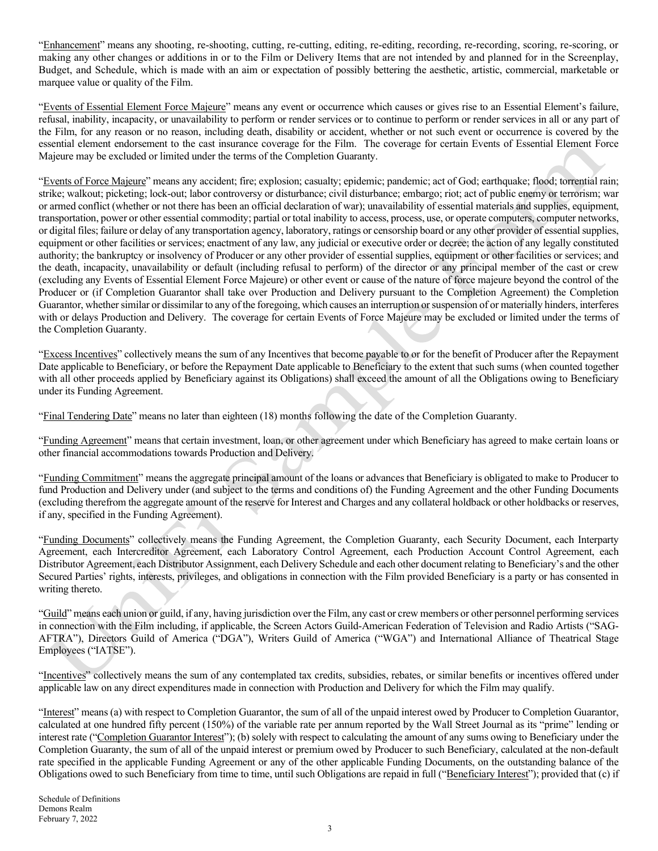"Enhancement" means any shooting, re-shooting, cutting, re-cutting, editing, re-editing, recording, re-recording, scoring, re-scoring, or making any other changes or additions in or to the Film or Delivery Items that are not intended by and planned for in the Screenplay, Budget, and Schedule, which is made with an aim or expectation of possibly bettering the aesthetic, artistic, commercial, marketable or marquee value or quality of the Film.

"Events of Essential Element Force Majeure" means any event or occurrence which causes or gives rise to an Essential Element's failure, refusal, inability, incapacity, or unavailability to perform or render services or to continue to perform or render services in all or any part of the Film, for any reason or no reason, including death, disability or accident, whether or not such event or occurrence is covered by the essential element endorsement to the cast insurance coverage for the Film. The coverage for certain Events of Essential Element Force Majeure may be excluded or limited under the terms of the Completion Guaranty.

"Events of Force Majeure" means any accident; fire; explosion; casualty; epidemic; pandemic; act of God; earthquake; flood; torrential rain; strike; walkout; picketing; lock-out; labor controversy or disturbance; civil disturbance; embargo; riot; act of public enemy or terrorism; war or armed conflict (whether or not there has been an official declaration of war); unavailability of essential materials and supplies, equipment, transportation, power or other essential commodity; partial or total inability to access, process, use, or operate computers, computer networks, or digital files; failure or delay of any transportation agency, laboratory, ratings or censorship board or any other provider of essential supplies, equipment or other facilities or services; enactment of any law, any judicial or executive order or decree; the action of any legally constituted authority; the bankruptcy or insolvency of Producer or any other provider of essential supplies, equipment or other facilities or services; and the death, incapacity, unavailability or default (including refusal to perform) of the director or any principal member of the cast or crew (excluding any Events of Essential Element Force Majeure) or other event or cause of the nature of force majeure beyond the control of the Producer or (if Completion Guarantor shall take over Production and Delivery pursuant to the Completion Agreement) the Completion Guarantor, whether similar or dissimilar to any of the foregoing, which causes an interruption or suspension of or materially hinders, interferes with or delays Production and Delivery. The coverage for certain Events of Force Majeure may be excluded or limited under the terms of the Completion Guaranty.

"Excess Incentives" collectively means the sum of any Incentives that become payable to or for the benefit of Producer after the Repayment Date applicable to Beneficiary, or before the Repayment Date applicable to Beneficiary to the extent that such sums (when counted together with all other proceeds applied by Beneficiary against its Obligations) shall exceed the amount of all the Obligations owing to Beneficiary under its Funding Agreement.

"Final Tendering Date" means no later than eighteen (18) months following the date of the Completion Guaranty.

"Funding Agreement" means that certain investment, loan, or other agreement under which Beneficiary has agreed to make certain loans or other financial accommodations towards Production and Delivery.

"Funding Commitment" means the aggregate principal amount of the loans or advances that Beneficiary is obligated to make to Producer to fund Production and Delivery under (and subject to the terms and conditions of) the Funding Agreement and the other Funding Documents (excluding therefrom the aggregate amount of the reserve for Interest and Charges and any collateral holdback or other holdbacks or reserves, if any, specified in the Funding Agreement).

"Funding Documents" collectively means the Funding Agreement, the Completion Guaranty, each Security Document, each Interparty Agreement, each Intercreditor Agreement, each Laboratory Control Agreement, each Production Account Control Agreement, each Distributor Agreement, each Distributor Assignment, each Delivery Schedule and each other document relating to Beneficiary's and the other Secured Parties' rights, interests, privileges, and obligations in connection with the Film provided Beneficiary is a party or has consented in writing thereto.

"Guild" means each union or guild, if any, having jurisdiction over the Film, any cast or crew members or other personnel performing services in connection with the Film including, if applicable, the Screen Actors Guild-American Federation of Television and Radio Artists ("SAG-AFTRA"), Directors Guild of America ("DGA"), Writers Guild of America ("WGA") and International Alliance of Theatrical Stage Employees ("IATSE").

"Incentives" collectively means the sum of any contemplated tax credits, subsidies, rebates, or similar benefits or incentives offered under applicable law on any direct expenditures made in connection with Production and Delivery for which the Film may qualify.

"Interest" means (a) with respect to Completion Guarantor, the sum of all of the unpaid interest owed by Producer to Completion Guarantor, calculated at one hundred fifty percent (150%) of the variable rate per annum reported by the Wall Street Journal as its "prime" lending or interest rate ("Completion Guarantor Interest"); (b) solely with respect to calculating the amount of any sums owing to Beneficiary under the Completion Guaranty, the sum of all of the unpaid interest or premium owed by Producer to such Beneficiary, calculated at the non-default rate specified in the applicable Funding Agreement or any of the other applicable Funding Documents, on the outstanding balance of the Obligations owed to such Beneficiary from time to time, until such Obligations are repaid in full ("Beneficiary Interest"); provided that (c) if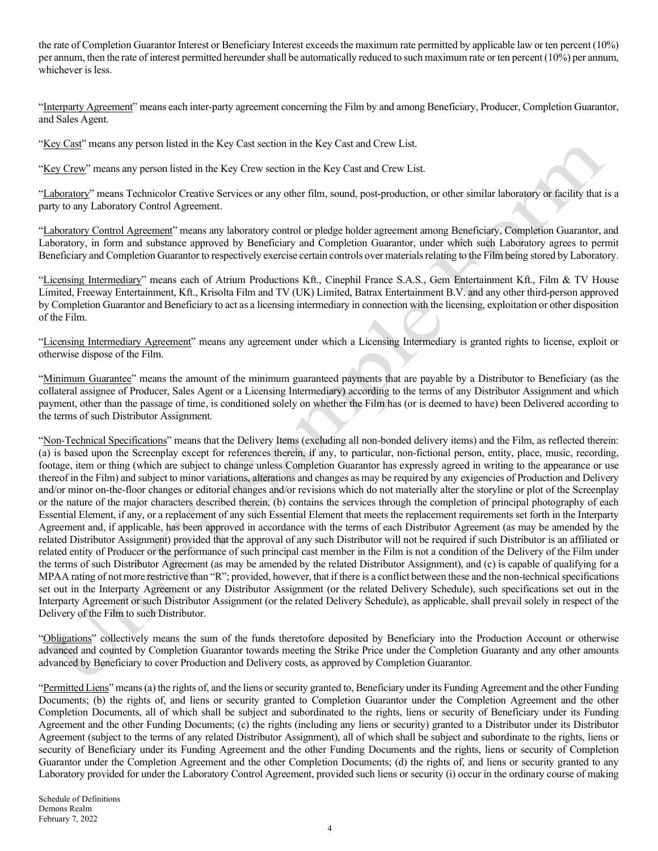the rate of Completion Guarantor Interest or Beneficiary Interest exceeds the maximum rate permitted by applicable law or ten percent (10%) per annum, then the rate of interest permitted hereunder shall be automatically reduced to such maximum rate or ten percent (10%) per annum, whichever is less.

"Interparty Agreement" means each inter-party agreement concerning the Film by and among Beneficiary, Producer, Completion Guarantor, and Sales Agent.

"Key Cast" means any person listed in the Key Cast section in the Key Cast and Crew List.

"Key Crew" means any person listed in the Key Crew section in the Key Cast and Crew List.

"Laboratory" means Technicolor Creative Services or any other film, sound, post-production, or other similar laboratory or facility that is a party to any Laboratory Control Agreement.

"Laboratory Control Agreement" means any laboratory control or pledge holder agreement among Beneficiary, Completion Guarantor, and Laboratory, in form and substance approved by Beneficiary and Completion Guarantor, under which such Laboratory agrees to permit Beneficiary and Completion Guarantor to respectively exercise certain controls over materials relating to the Film being stored by Laboratory.

"Licensing Intermediary" means each of Atrium Productions Kft., Cinephil France S.A.S., Gem Entertainment Kft., Film & TV House Limited, Freeway Entertainment, Kft., Krisolta Film and TV (UK) Limited, Batrax Entertainment B.V. and any other third-person approved by Completion Guarantor and Beneficiary to act as a licensing intermediary in connection with the licensing, exploitation or other disposition of the Film.

"Licensing Intermediary Agreement" means any agreement under which a Licensing Intermediary is granted rights to license, exploit or otherwise dispose of the Film.

"Minimum Guarantee" means the amount of the minimum guaranteed payments that are payable by a Distributor to Beneficiary (as the collateral assignee of Producer, Sales Agent or a Licensing Intermediary) according to the terms of any Distributor Assignment and which payment, other than the passage of time, is conditioned solely on whether the Film has (or is deemed to have) been Delivered according to the terms of such Distributor Assignment.

"Non-Technical Specifications" means that the Delivery Items (excluding all non-bonded delivery items) and the Film, as reflected therein: (a) is based upon the Screenplay except for references therein, if any, to particular, non-fictional person, entity, place, music, recording, footage, item or thing (which are subject to change unless Completion Guarantor has expressly agreed in writing to the appearance or use thereof in the Film) and subject to minor variations, alterations and changes as may be required by any exigencies of Production and Delivery and/or minor on-the-floor changes or editorial changes and/or revisions which do not materially alter the storyline or plot of the Screenplay or the nature of the major characters described therein, (b) contains the services through the completion of principal photography of each Essential Element, if any, or a replacement of any such Essential Element that meets the replacement requirements set forth in the Interparty Agreement and, if applicable, has been approved in accordance with the terms of each Distributor Agreement (as may be amended by the related Distributor Assignment) provided that the approval of any such Distributor will not be required if such Distributor is an affiliated or related entity of Producer or the performance of such principal cast member in the Film is not a condition of the Delivery of the Film under the terms of such Distributor Agreement (as may be amended by the related Distributor Assignment), and (c) is capable of qualifying for a MPAA rating of not more restrictive than "R"; provided, however, that if there is a conflict between these and the non-technical specifications set out in the Interparty Agreement or any Distributor Assignment (or the related Delivery Schedule), such specifications set out in the Interparty Agreement or such Distributor Assignment (or the related Delivery Schedule), as applicable, shall prevail solely in respect of the Delivery of the Film to such Distributor.

"Obligations" collectively means the sum of the funds theretofore deposited by Beneficiary into the Production Account or otherwise advanced and counted by Completion Guarantor towards meeting the Strike Price under the Completion Guaranty and any other amounts advanced by Beneficiary to cover Production and Delivery costs, as approved by Completion Guarantor.

"Permitted Liens" means (a) the rights of, and the liens or security granted to, Beneficiary under its Funding Agreement and the other Funding Documents; (b) the rights of, and liens or security granted to Completion Guarantor under the Completion Agreement and the other Completion Documents, all of which shall be subject and subordinated to the rights, liens or security of Beneficiary under its Funding Agreement and the other Funding Documents; (c) the rights (including any liens or security) granted to a Distributor under its Distributor Agreement (subject to the terms of any related Distributor Assignment), all of which shall be subject and subordinate to the rights, liens or security of Beneficiary under its Funding Agreement and the other Funding Documents and the rights, liens or security of Completion Guarantor under the Completion Agreement and the other Completion Documents; (d) the rights of, and liens or security granted to any Laboratory provided for under the Laboratory Control Agreement, provided such liens or security (i) occur in the ordinary course of making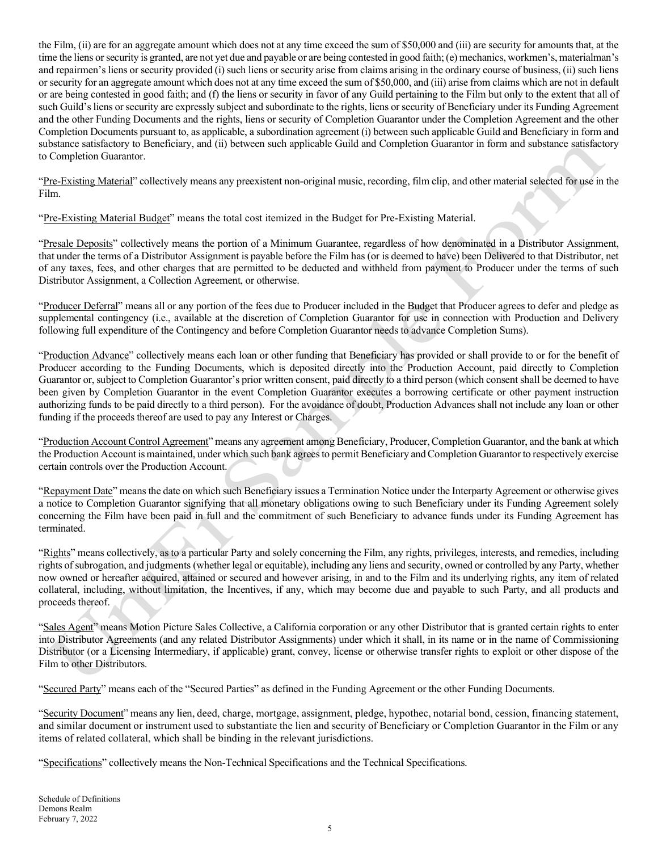the Film, (ii) are for an aggregate amount which does not at any time exceed the sum of \$50,000 and (iii) are security for amounts that, at the time the liens or security is granted, are not yet due and payable or are being contested in good faith; (e) mechanics, workmen's, materialman's and repairmen's liens or security provided (i) such liens or security arise from claims arising in the ordinary course of business, (ii) such liens or security for an aggregate amount which does not at any time exceed the sum of \$50,000, and (iii) arise from claims which are not in default or are being contested in good faith; and (f) the liens or security in favor of any Guild pertaining to the Film but only to the extent that all of such Guild's liens or security are expressly subject and subordinate to the rights, liens or security of Beneficiary under its Funding Agreement and the other Funding Documents and the rights, liens or security of Completion Guarantor under the Completion Agreement and the other Completion Documents pursuant to, as applicable, a subordination agreement (i) between such applicable Guild and Beneficiary in form and substance satisfactory to Beneficiary, and (ii) between such applicable Guild and Completion Guarantor in form and substance satisfactory to Completion Guarantor.

"Pre-Existing Material" collectively means any preexistent non-original music, recording, film clip, and other material selected for use in the Film.

"Pre-Existing Material Budget" means the total cost itemized in the Budget for Pre-Existing Material.

"Presale Deposits" collectively means the portion of a Minimum Guarantee, regardless of how denominated in a Distributor Assignment, that under the terms of a Distributor Assignment is payable before the Film has (or is deemed to have) been Delivered to that Distributor, net of any taxes, fees, and other charges that are permitted to be deducted and withheld from payment to Producer under the terms of such Distributor Assignment, a Collection Agreement, or otherwise.

"Producer Deferral" means all or any portion of the fees due to Producer included in the Budget that Producer agrees to defer and pledge as supplemental contingency (i.e., available at the discretion of Completion Guarantor for use in connection with Production and Delivery following full expenditure of the Contingency and before Completion Guarantor needs to advance Completion Sums).

"Production Advance" collectively means each loan or other funding that Beneficiary has provided or shall provide to or for the benefit of Producer according to the Funding Documents, which is deposited directly into the Production Account, paid directly to Completion Guarantor or, subject to Completion Guarantor's prior written consent, paid directly to a third person (which consent shall be deemed to have been given by Completion Guarantor in the event Completion Guarantor executes a borrowing certificate or other payment instruction authorizing funds to be paid directly to a third person). For the avoidance of doubt, Production Advances shall not include any loan or other funding if the proceeds thereof are used to pay any Interest or Charges.

"Production Account Control Agreement" means any agreement among Beneficiary, Producer, Completion Guarantor, and the bank at which the Production Account is maintained, under which such bank agrees to permit Beneficiary and Completion Guarantor to respectively exercise certain controls over the Production Account.

"Repayment Date" means the date on which such Beneficiary issues a Termination Notice under the Interparty Agreement or otherwise gives a notice to Completion Guarantor signifying that all monetary obligations owing to such Beneficiary under its Funding Agreement solely concerning the Film have been paid in full and the commitment of such Beneficiary to advance funds under its Funding Agreement has terminated.

"Rights" means collectively, as to a particular Party and solely concerning the Film, any rights, privileges, interests, and remedies, including rights of subrogation, and judgments (whether legal or equitable), including any liens and security, owned or controlled by any Party, whether now owned or hereafter acquired, attained or secured and however arising, in and to the Film and its underlying rights, any item of related collateral, including, without limitation, the Incentives, if any, which may become due and payable to such Party, and all products and proceeds thereof.

"Sales Agent" means Motion Picture Sales Collective, a California corporation or any other Distributor that is granted certain rights to enter into Distributor Agreements (and any related Distributor Assignments) under which it shall, in its name or in the name of Commissioning Distributor (or a Licensing Intermediary, if applicable) grant, convey, license or otherwise transfer rights to exploit or other dispose of the Film to other Distributors.

"Secured Party" means each of the "Secured Parties" as defined in the Funding Agreement or the other Funding Documents.

"Security Document" means any lien, deed, charge, mortgage, assignment, pledge, hypothec, notarial bond, cession, financing statement, and similar document or instrument used to substantiate the lien and security of Beneficiary or Completion Guarantor in the Film or any items of related collateral, which shall be binding in the relevant jurisdictions.

"Specifications" collectively means the Non-Technical Specifications and the Technical Specifications.